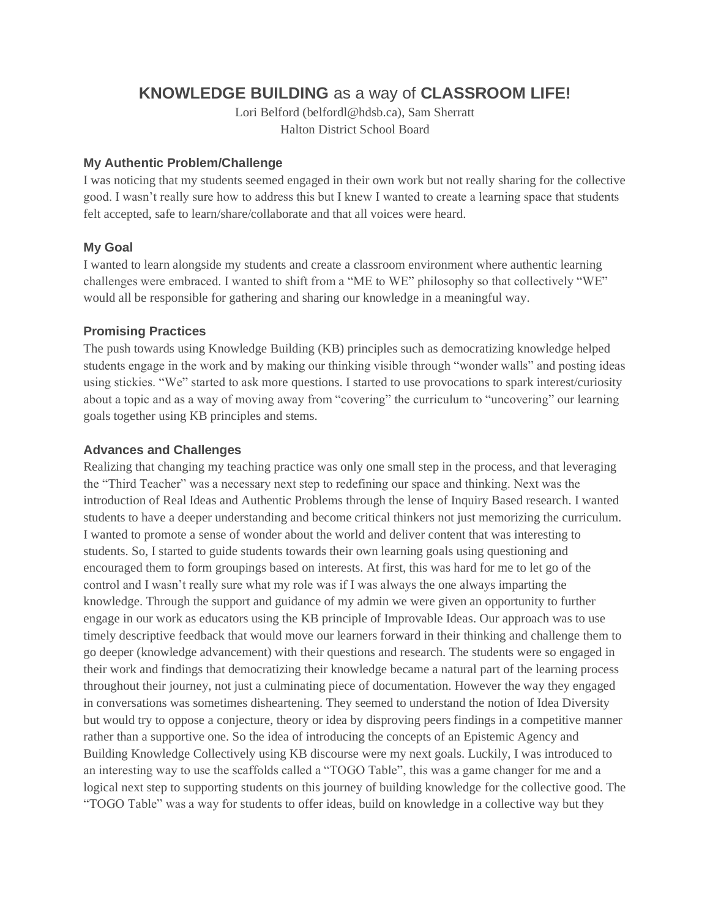# **KNOWLEDGE BUILDING** as a way of **CLASSROOM LIFE!**

Lori Belford (belfordl@hdsb.ca), Sam Sherratt Halton District School Board

#### **My Authentic Problem/Challenge**

I was noticing that my students seemed engaged in their own work but not really sharing for the collective good. I wasn't really sure how to address this but I knew I wanted to create a learning space that students felt accepted, safe to learn/share/collaborate and that all voices were heard.

## **My Goal**

I wanted to learn alongside my students and create a classroom environment where authentic learning challenges were embraced. I wanted to shift from a "ME to WE" philosophy so that collectively "WE" would all be responsible for gathering and sharing our knowledge in a meaningful way.

## **Promising Practices**

The push towards using Knowledge Building (KB) principles such as democratizing knowledge helped students engage in the work and by making our thinking visible through "wonder walls" and posting ideas using stickies. "We" started to ask more questions. I started to use provocations to spark interest/curiosity about a topic and as a way of moving away from "covering" the curriculum to "uncovering" our learning goals together using KB principles and stems.

## **Advances and Challenges**

Realizing that changing my teaching practice was only one small step in the process, and that leveraging the "Third Teacher" was a necessary next step to redefining our space and thinking. Next was the introduction of Real Ideas and Authentic Problems through the lense of Inquiry Based research. I wanted students to have a deeper understanding and become critical thinkers not just memorizing the curriculum. I wanted to promote a sense of wonder about the world and deliver content that was interesting to students. So, I started to guide students towards their own learning goals using questioning and encouraged them to form groupings based on interests. At first, this was hard for me to let go of the control and I wasn't really sure what my role was if I was always the one always imparting the knowledge. Through the support and guidance of my admin we were given an opportunity to further engage in our work as educators using the KB principle of Improvable Ideas. Our approach was to use timely descriptive feedback that would move our learners forward in their thinking and challenge them to go deeper (knowledge advancement) with their questions and research. The students were so engaged in their work and findings that democratizing their knowledge became a natural part of the learning process throughout their journey, not just a culminating piece of documentation. However the way they engaged in conversations was sometimes disheartening. They seemed to understand the notion of Idea Diversity but would try to oppose a conjecture, theory or idea by disproving peers findings in a competitive manner rather than a supportive one. So the idea of introducing the concepts of an Epistemic Agency and Building Knowledge Collectively using KB discourse were my next goals. Luckily, I was introduced to an interesting way to use the scaffolds called a "TOGO Table", this was a game changer for me and a logical next step to supporting students on this journey of building knowledge for the collective good. The "TOGO Table" was a way for students to offer ideas, build on knowledge in a collective way but they